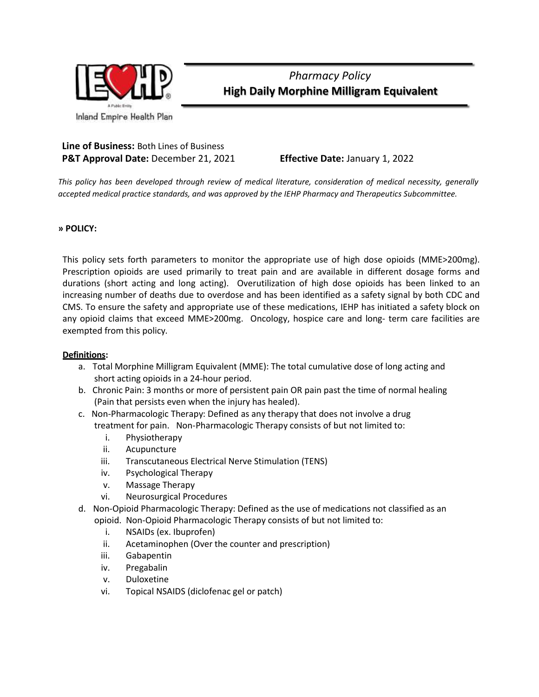

*Pharmacy Policy* **High Daily Morphine Milligram Equivalent**

### **Line of Business:** Both Lines of Business **P&T Approval Date:** December 21, 2021 **Effective Date:** January 1, 2022

*This policy has been developed through review of medical literature, consideration of medical necessity, generally accepted medical practice standards, and was approved by the IEHP Pharmacy and Therapeutics Subcommittee.*

**» POLICY:**

This policy sets forth parameters to monitor the appropriate use of high dose opioids (MME>200mg). Prescription opioids are used primarily to treat pain and are available in different dosage forms and durations (short acting and long acting). Overutilization of high dose opioids has been linked to an increasing number of deaths due to overdose and has been identified as a safety signal by both CDC and CMS. To ensure the safety and appropriate use of these medications, IEHP has initiated a safety block on any opioid claims that exceed MME>200mg. Oncology, hospice care and long- term care facilities are exempted from this policy.

#### **Definitions:**

- a. Total Morphine Milligram Equivalent (MME): The total cumulative dose of long acting and short acting opioids in a 24-hour period.
- b. Chronic Pain: 3 months or more of persistent pain OR pain past the time of normal healing (Pain that persists even when the injury has healed).
- c. Non-Pharmacologic Therapy: Defined as any therapy that does not involve a drug treatment for pain. Non-Pharmacologic Therapy consists of but not limited to:
	- i. Physiotherapy
	- ii. Acupuncture
	- iii. Transcutaneous Electrical Nerve Stimulation (TENS)
	- iv. Psychological Therapy
	- v. Massage Therapy
	- vi. Neurosurgical Procedures
- d. Non-Opioid Pharmacologic Therapy: Defined as the use of medications not classified as an opioid. Non-Opioid Pharmacologic Therapy consists of but not limited to:
	- i. NSAIDs (ex. Ibuprofen)
	- ii. Acetaminophen (Over the counter and prescription)
	- iii. Gabapentin
	- iv. Pregabalin
	- v. Duloxetine
	- vi. Topical NSAIDS (diclofenac gel or patch)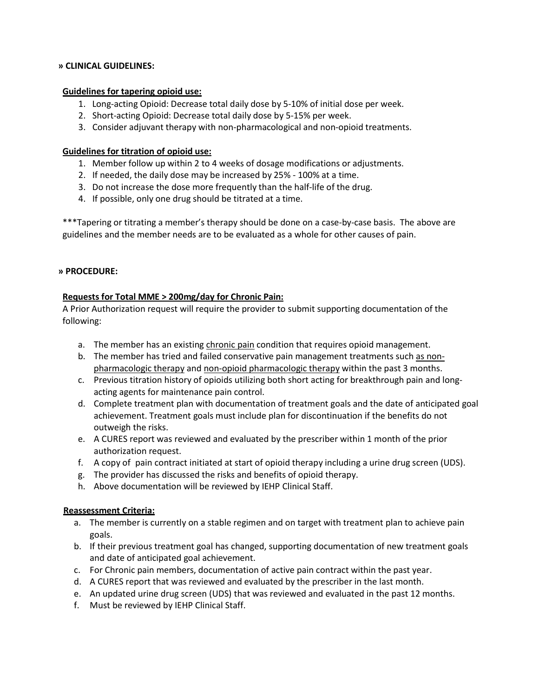#### **» CLINICAL GUIDELINES:**

#### **Guidelines for tapering opioid use:**

- 1. Long-acting Opioid: Decrease total daily dose by 5-10% of initial dose per week.
- 2. Short-acting Opioid: Decrease total daily dose by 5-15% per week.
- 3. Consider adjuvant therapy with non-pharmacological and non-opioid treatments.

#### **Guidelines for titration of opioid use:**

- 1. Member follow up within 2 to 4 weeks of dosage modifications or adjustments.
- 2. If needed, the daily dose may be increased by 25% 100% at a time.
- 3. Do not increase the dose more frequently than the half-life of the drug.
- 4. If possible, only one drug should be titrated at a time.

\*\*\*Tapering or titrating a member's therapy should be done on a case-by-case basis. The above are guidelines and the member needs are to be evaluated as a whole for other causes of pain.

#### **» PROCEDURE:**

#### **Requests for Total MME > 200mg/day for Chronic Pain:**

A Prior Authorization request will require the provider to submit supporting documentation of the following:

- a. The member has an existing *chronic pain condition that requires opioid management.*
- b. The member has tried and failed conservative pain management treatments such as nonpharmacologic therapy and non-opioid pharmacologic therapy within the past 3 months.
- c. Previous titration history of opioids utilizing both short acting for breakthrough pain and longacting agents for maintenance pain control.
- d. Complete treatment plan with documentation of treatment goals and the date of anticipated goal achievement. Treatment goals must include plan for discontinuation if the benefits do not outweigh the risks.
- e. A CURES report was reviewed and evaluated by the prescriber within 1 month of the prior authorization request.
- f. A copy of pain contract initiated at start of opioid therapy including a urine drug screen (UDS).
- g. The provider has discussed the risks and benefits of opioid therapy.
- h. Above documentation will be reviewed by IEHP Clinical Staff.

#### **Reassessment Criteria:**

- a. The member is currently on a stable regimen and on target with treatment plan to achieve pain goals.
- b. If their previous treatment goal has changed, supporting documentation of new treatment goals and date of anticipated goal achievement.
- c. For Chronic pain members, documentation of active pain contract within the past year.
- d. A CURES report that was reviewed and evaluated by the prescriber in the last month.
- e. An updated urine drug screen (UDS) that was reviewed and evaluated in the past 12 months.
- f. Must be reviewed by IEHP Clinical Staff.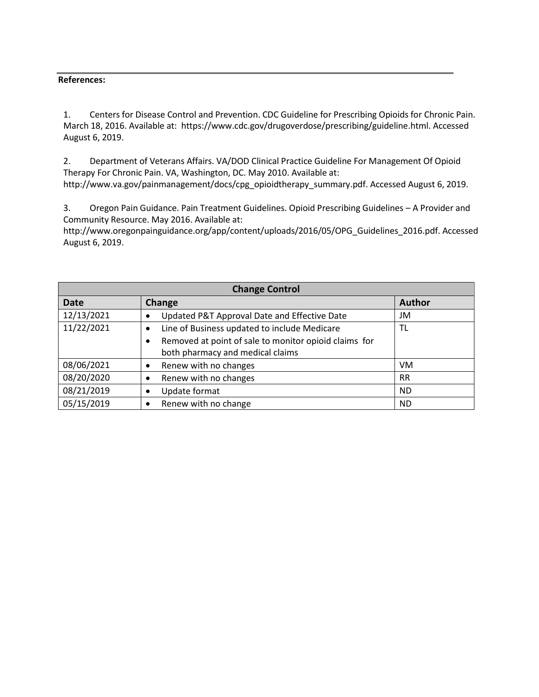#### **References:**

1. Centers for Disease Control and Prevention. CDC Guideline for Prescribing Opioids for Chronic Pain. March 18, 2016. Available at: https://www.cdc.gov/drugoverdose/prescribing/guideline.html. Accessed August 6, 2019.

2. Department of Veterans Affairs. VA/DOD Clinical Practice Guideline For Management Of Opioid Therapy For Chronic Pain. VA, Washington, DC. May 2010. Available at: http://www.va.gov/painmanagement/docs/cpg\_opioidtherapy\_summary.pdf. Accessed August 6, 2019.

3. Oregon Pain Guidance. Pain Treatment Guidelines. Opioid Prescribing Guidelines – A Provider and Community Resource. May 2016. Available at:

http://www.oregonpainguidance.org/app/content/uploads/2016/05/OPG\_Guidelines\_2016.pdf. Accessed August 6, 2019.

| <b>Change Control</b> |                                                                    |               |  |  |  |
|-----------------------|--------------------------------------------------------------------|---------------|--|--|--|
| <b>Date</b>           | <b>Change</b>                                                      | <b>Author</b> |  |  |  |
| 12/13/2021            | Updated P&T Approval Date and Effective Date                       | JM            |  |  |  |
| 11/22/2021            | Line of Business updated to include Medicare<br>٠                  | TL            |  |  |  |
|                       | Removed at point of sale to monitor opioid claims for<br>$\bullet$ |               |  |  |  |
|                       | both pharmacy and medical claims                                   |               |  |  |  |
| 08/06/2021            | Renew with no changes                                              | VM            |  |  |  |
| 08/20/2020            | Renew with no changes                                              | <b>RR</b>     |  |  |  |
| 08/21/2019            | Update format                                                      | <b>ND</b>     |  |  |  |
| 05/15/2019            | Renew with no change                                               | <b>ND</b>     |  |  |  |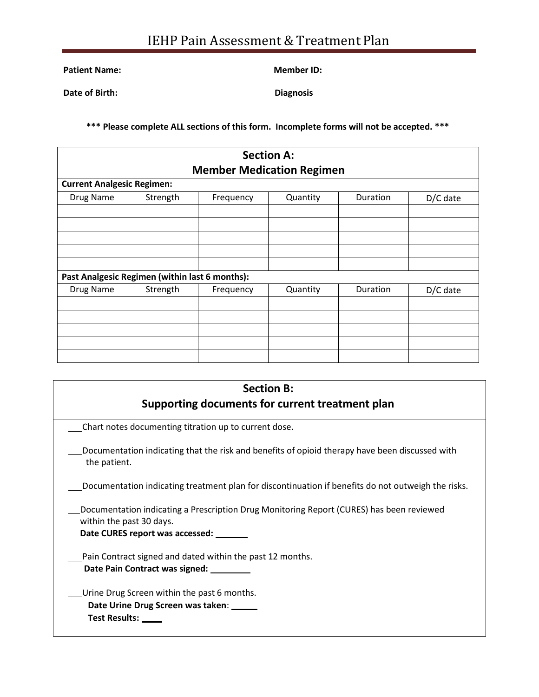**Patient Name: Member ID:**

**Date of Birth: Diagnosis**

**\*\*\* Please complete ALL sections of this form. Incomplete forms will not be accepted. \*\*\***

| <b>Section A:</b><br><b>Member Medication Regimen</b><br><b>Current Analgesic Regimen:</b> |          |           |          |          |          |  |  |
|--------------------------------------------------------------------------------------------|----------|-----------|----------|----------|----------|--|--|
|                                                                                            |          |           |          |          |          |  |  |
|                                                                                            |          |           |          |          |          |  |  |
|                                                                                            |          |           |          |          |          |  |  |
| Past Analgesic Regimen (within last 6 months):                                             |          |           |          |          |          |  |  |
| Drug Name                                                                                  | Strength | Frequency | Quantity | Duration | D/C date |  |  |
|                                                                                            |          |           |          |          |          |  |  |
|                                                                                            |          |           |          |          |          |  |  |
|                                                                                            |          |           |          |          |          |  |  |
|                                                                                            |          |           |          |          |          |  |  |

| <b>Section B:</b>                                                                                                                                               |  |  |  |  |
|-----------------------------------------------------------------------------------------------------------------------------------------------------------------|--|--|--|--|
| Supporting documents for current treatment plan                                                                                                                 |  |  |  |  |
| Chart notes documenting titration up to current dose.                                                                                                           |  |  |  |  |
| Documentation indicating that the risk and benefits of opioid therapy have been discussed with<br>the patient.                                                  |  |  |  |  |
| Documentation indicating treatment plan for discontinuation if benefits do not outweigh the risks.                                                              |  |  |  |  |
| Documentation indicating a Prescription Drug Monitoring Report (CURES) has been reviewed<br>within the past 30 days.<br>Date CURES report was accessed: _______ |  |  |  |  |
| Pain Contract signed and dated within the past 12 months.<br>Date Pain Contract was signed: ________                                                            |  |  |  |  |
| Urine Drug Screen within the past 6 months.<br>Date Urine Drug Screen was taken:<br>Test Results: ____                                                          |  |  |  |  |